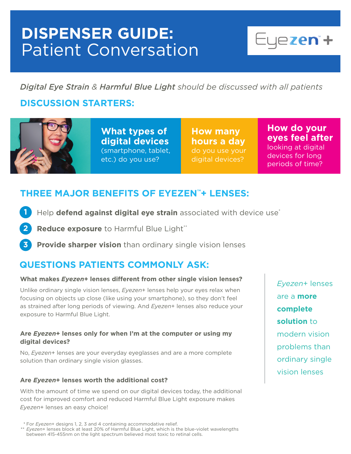## **DISPENSER GUIDE:**  Patient Conversation



*Digital Eye Strain & Harmful Blue Light should be discussed with all patients*

## **DISCUSSION STARTERS:**



**What types of digital devices** (smartphone, tablet, etc.) do you use?

**How many hours a day** digital devices?

**How do your eyes feel after** looking at digital devices for long periods of time?

### **THREE MAJOR BENEFITS OF EYEZEN™+ LENSES:**

- Help **defend against digital eye strain** associated with device use\* **1**
- **Reduce exposure** to Harmful Blue Light\*\* **2**
- **Provide sharper vision** than ordinary single vision lenses **3**

## **QUESTIONS PATIENTS COMMONLY ASK:**

#### **What makes** *Eyezen***+ lenses different from other single vision lenses?**

Unlike ordinary single vision lenses, *Eyezen*+ lenses help your eyes relax when focusing on objects up close (like using your smartphone), so they don't feel as strained after long periods of viewing. And *Eyezen*+ lenses also reduce your exposure to Harmful Blue Light.

#### **Are** *Eyezen***+ lenses only for when I'm at the computer or using my digital devices?**

No, *Eyezen*+ lenses are your everyday eyeglasses and are a more complete solution than ordinary single vision glasses.

#### **Are** *Eyezen***+ lenses worth the additional cost?**

With the amount of time we spend on our digital devices today, the additional cost for improved comfort and reduced Harmful Blue Light exposure makes *Eyezen*+ lenses an easy choice!

*Eyezen*+ lenses are a **more complete solution** to modern vision problems than ordinary single vision lenses

 <sup>\*</sup> For *Eyezen*+ designs 1, 2, 3 and 4 containing accommodative relief.

<sup>\*\*</sup> *Eyezen*+ lenses block at least 20% of Harmful Blue Light, which is the blue-violet wavelengths between 415-455nm on the light spectrum believed most toxic to retinal cells.